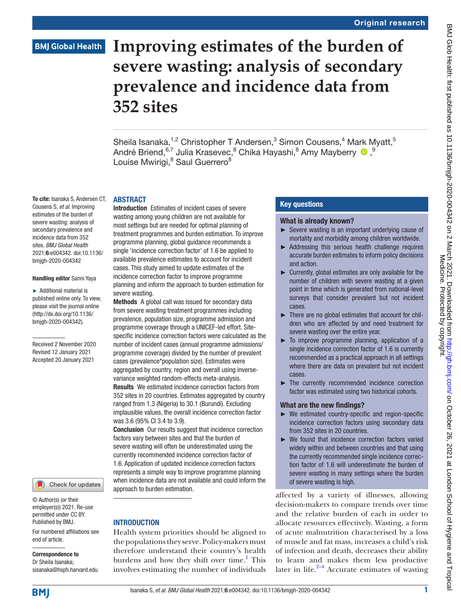# **BMJ Global Health**

# **Improving estimates of the burden of severe wasting: analysis of secondary prevalence and incidence data from 352 sites**

Sheila Isanaka,<sup>1,2</sup> Christopher T Andersen,<sup>3</sup> Simon Cousens,<sup>4</sup> Mark Myatt,<sup>5</sup> André Briend,<sup>6,7</sup> Julia Krasevec,<sup>8</sup> Chika Hayashi,<sup>8</sup> Amy Mayberry O, 9 Louise Mwirigi,<sup>8</sup> Saul Guerrero<sup>8</sup>

#### ABSTRACT

Cousens S, *et al*. Improving estimates of the burden of severe wasting: analysis of secondary prevalence and incidence data from 352 sites. *BMJ Global Health* 2021;6:e004342. doi:10.1136/ bmjgh-2020-004342

#### Handling editor Sanni Yaya

To cite: Isanaka S, Andersen CT,

► Additional material is published online only. To view, please visit the journal online (http://dx.doi.org/10.1136/ bmjgh-2020-004342).

Received 2 November 2020 Revised 12 January 2021 Accepted 20 January 2021



© Author(s) (or their employer(s)) 2021. Re-use permitted under CC BY. Published by BMJ.

For numbered affiliations see end of article.

#### Correspondence to Dr Sheila Isanaka;

sisanaka@hsph.harvard.edu

Introduction Estimates of incident cases of severe wasting among young children are not available for most settings but are needed for optimal planning of treatment programmes and burden estimation. To improve programme planning, global guidance recommends a single 'incidence correction factor' of 1.6 be applied to available prevalence estimates to account for incident cases. This study aimed to update estimates of the incidence correction factor to improve programme planning and inform the approach to burden estimation for severe wasting.

Methods A global call was issued for secondary data from severe wasting treatment programmes including prevalence, population size, programme admission and programme coverage through a UNICEF-led effort. Sitespecific incidence correction factors were calculated as the number of incident cases (annual programme admissions/ programme coverage) divided by the number of prevalent cases (prevalence\*population size). Estimates were aggregated by country, region and overall using inversevariance weighted random-effects meta-analysis. Results We estimated incidence correction factors from 352 sites in 20 countries. Estimates aggregated by country ranged from 1.3 (Nigeria) to 30.1 (Burundi). Excluding implausible values, the overall incidence correction factor was 3.6 (95% CI 3.4 to 3.9).

**Conclusion** Our results suggest that incidence correction factors vary between sites and that the burden of severe wasting will often be underestimated using the currently recommended incidence correction factor of 1.6. Application of updated incidence correction factors represents a simple way to improve programme planning when incidence data are not available and could inform the approach to burden estimation.

# **INTRODUCTION**

Health system priorities should be aligned to the populations they serve. Policy-makers must therefore understand their country's health burdens and how they shift over time.<sup>1</sup> This involves estimating the number of individuals

### Key questions

#### What is already known?

- ► Severe wasting is an important underlying cause of mortality and morbidity among children worldwide.
- ► Addressing this serious health challenge requires accurate burden estimates to inform policy decisions and action.
- ► Currently, global estimates are only available for the number of children with severe wasting at a given point in time which is generated from national-level surveys that consider prevalent but not incident cases.
- ► There are no global estimates that account for children who are affected by and need treatment for severe wasting over the entire year.
- ► To improve programme planning, application of a single incidence correction factor of 1.6 is currently recommended as a practical approach in all settings where there are data on prevalent but not incident cases.
- ► The currently recommended incidence correction factor was estimated using two historical cohorts.

## What are the new findings?

- ► We estimated country-specific and region-specific incidence correction factors using secondary data from 352 sites in 20 countries.
- ► We found that incidence correction factors varied widely within and between countries and that using the currently recommended single incidence correction factor of 1.6 will underestimate the burden of severe wasting in many settings where the burden of severe wasting is high.

affected by a variety of illnesses, allowing decision-makers to compare trends over time and the relative burden of each in order to allocate resources effectively. Wasting, a form of acute malnutrition characterised by a loss of muscle and fat mass, increases a child's risk of infection and death, decreases their ability to learn and makes them less productive later in life.<sup>2-4</sup> Accurate estimates of wasting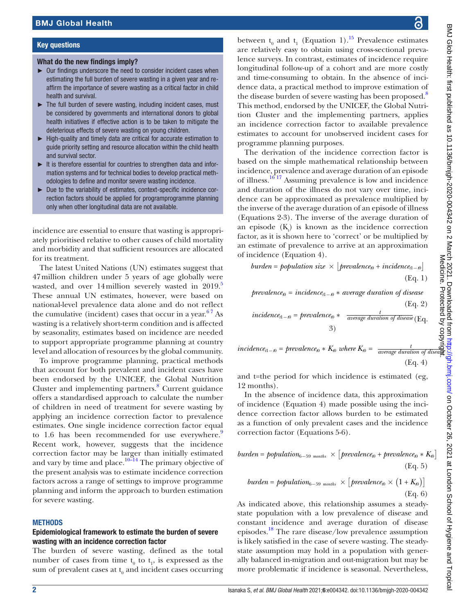#### Key questions

#### What do the new findings imply?

- ► Our findings underscore the need to consider incident cases when estimating the full burden of severe wasting in a given year and reaffirm the importance of severe wasting as a critical factor in child health and survival.
- ► The full burden of severe wasting, including incident cases, must be considered by governments and international donors to global health initiatives if effective action is to be taken to mitigate the deleterious effects of severe wasting on young children.
- ► High-quality and timely data are critical for accurate estimation to guide priority setting and resource allocation within the child health and survival sector.
- ► It is therefore essential for countries to strengthen data and information systems and for technical bodies to develop practical methodologies to define and monitor severe wasting incidence.
- ► Due to the variability of estimates, context-specific incidence correction factors should be applied for programprogramme planning only when other longitudinal data are not available.

incidence are essential to ensure that wasting is appropriately prioritised relative to other causes of child mortality and morbidity and that sufficient resources are allocated for its treatment.

The latest United Nations (UN) estimates suggest that 47million children under 5 years of age globally were wasted, and over 14million severely wasted in 2019.<sup>[5](#page-6-2)</sup> These annual UN estimates, however, were based on national-level prevalence data alone and do not reflect the cumulative (incident) cases that occur in a year.<sup>67</sup> As wasting is a relatively short-term condition and is affected by seasonality, estimates based on incidence are needed to support appropriate programme planning at country level and allocation of resources by the global community.

To improve programme planning, practical methods that account for both prevalent and incident cases have been endorsed by the UNICEF, the Global Nutrition Cluster and implementing partners.<sup>8</sup> Current guidance offers a standardised approach to calculate the number of children in need of treatment for severe wasting by applying an incidence correction factor to prevalence estimates. One single incidence correction factor equal to 1.6 has been recommended for use everywhere. $9$ Recent work, however, suggests that the incidence correction factor may be larger than initially estimated and vary by time and place.<sup>10–14</sup> The primary objective of the present analysis was to estimate incidence correction factors across a range of settings to improve programme planning and inform the approach to burden estimation for severe wasting.

#### **METHODS**

#### Epidemiological framework to estimate the burden of severe wasting with an incidence correction factor

The burden of severe wasting, defined as the total number of cases from time  $t_0$  to  $t_1$ , is expressed as the sum of prevalent cases at  $\mathbf{t}_{\scriptscriptstyle{0}}$  and incident cases occurring

between  $t_0$  and  $t_1$  (Equation 1).<sup>15</sup> Prevalence estimates are relatively easy to obtain using cross-sectional prevalence surveys. In contrast, estimates of incidence require longitudinal follow-up of a cohort and are more costly and time-consuming to obtain. In the absence of incidence data, a practical method to improve estimation of the disease burden of severe wasting has been proposed.<sup>[8](#page-6-4)</sup> This method, endorsed by the UNICEF, the Global Nutrition Cluster and the implementing partners, applies an incidence correction factor to available prevalence estimates to account for unobserved incident cases for programme planning purposes.

The derivation of the incidence correction factor is based on the simple mathematical relationship between incidence, prevalence and average duration of an episode of illness[.16 17](#page-7-2) Assuming prevalence is low and incidence and duration of the illness do not vary over time, incidence can be approximated as prevalence multiplied by the inverse of the average duration of an episode of illness (Equations 2-3). The inverse of the average duration of an episode  $(K_t)$  is known as the incidence correction factor, as it is shown here to 'correct' or be multiplied by an estimate of prevalence to arrive at an approximation of incidence (Equation 4).

 $b$ *urden* =  $p$ *opulation size*  $\times$   $[prevalence_0 + incidence_{t1-\omega}]$ (Eq. 1)  $prevalence_0 = incidence_1 - b * average duration of disease$ 

$$
(Eq. 2)
$$
  
incidence<sub>1-0</sub> = prevalence<sub>0</sub> \*  $\frac{t}{average\ duration\ of\ disease}$  (Eq. 3)  
3)

*incidence*<sub>t1−0</sub> = *prevalence*<sub>0</sub> \*  $K_0$  *where*  $K_0$  =  $\frac{t}{average \ duration \ of \ disease}$ (Eq. 4)

and t=the period for which incidence is estimated (eg, 12 months).

In the absence of incidence data, this approximation of incidence (Equation 4) made possible using the incidence correction factor allows burden to be estimated as a function of only prevalent cases and the incidence correction factor (Equations 5-6).

*burden* = *population*<sub>6–59 months</sub> 
$$
\times
$$
 [*prevalence*<sub>0</sub> + *prevalence*<sub>0</sub>  $\times$   $K_0$   
(Eq. 5)

*burden* = *population*<sub>6–59 months</sub> 
$$
\times
$$
 [*prevalence*<sub>0</sub>  $\times$  (1 +  $K$ <sub>0</sub>)] (Eq. 6)

As indicated above, this relationship assumes a steadystate population with a low prevalence of disease and constant incidence and average duration of disease episodes.[18](#page-7-3) The rare disease/low prevalence assumption is likely satisfied in the case of severe wasting. The steadystate assumption may hold in a population with generally balanced in-migration and out-migration but may be more problematic if incidence is seasonal. Nevertheless,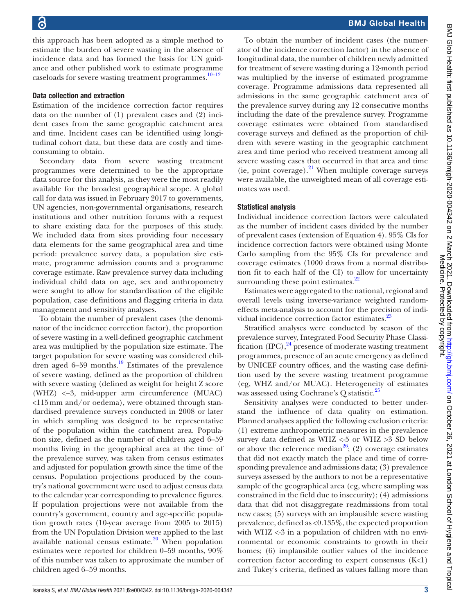this approach has been adopted as a simple method to estimate the burden of severe wasting in the absence of incidence data and has formed the basis for UN guidance and other published work to estimate programme caseloads for severe wasting treatment programmes.<sup>10-12</sup>

#### Data collection and extraction

Estimation of the incidence correction factor requires data on the number of (1) prevalent cases and (2) incident cases from the same geographic catchment area and time. Incident cases can be identified using longitudinal cohort data, but these data are costly and timeconsuming to obtain.

Secondary data from severe wasting treatment programmes were determined to be the appropriate data source for this analysis, as they were the most readily available for the broadest geographical scope. A global call for data was issued in February 2017 to governments, UN agencies, non-governmental organisations, research institutions and other nutrition forums with a request to share existing data for the purposes of this study. We included data from sites providing four necessary data elements for the same geographical area and time period: prevalence survey data, a population size estimate, programme admission counts and a programme coverage estimate. Raw prevalence survey data including individual child data on age, sex and anthropometry were sought to allow for standardisation of the eligible population, case definitions and flagging criteria in data management and sensitivity analyses.

To obtain the number of prevalent cases (the denominator of the incidence correction factor), the proportion of severe wasting in a well-defined geographic catchment area was multiplied by the population size estimate. The target population for severe wasting was considered children aged  $6-59$  months.<sup>19</sup> Estimates of the prevalence of severe wasting, defined as the proportion of children with severe wasting (defined as weight for height Z score (WHZ) <−3, mid-upper arm circumference (MUAC) <115mm and/or oedema), were obtained through standardised prevalence surveys conducted in 2008 or later in which sampling was designed to be representative of the population within the catchment area. Population size, defined as the number of children aged 6–59 months living in the geographical area at the time of the prevalence survey, was taken from census estimates and adjusted for population growth since the time of the census. Population projections produced by the country's national government were used to adjust census data to the calendar year corresponding to prevalence figures. If population projections were not available from the country's government, country and age-specific population growth rates (10-year average from 2005 to 2015) from the UN Population Division were applied to the last available national census estimate. $^{20}$  $^{20}$  $^{20}$  When population estimates were reported for children 0–59 months, 90% of this number was taken to approximate the number of children aged 6–59 months.

To obtain the number of incident cases (the numerator of the incidence correction factor) in the absence of longitudinal data, the number of children newly admitted for treatment of severe wasting during a 12-month period was multiplied by the inverse of estimated programme coverage. Programme admissions data represented all admissions in the same geographic catchment area of the prevalence survey during any 12 consecutive months including the date of the prevalence survey. Programme coverage estimates were obtained from standardised coverage surveys and defined as the proportion of children with severe wasting in the geographic catchment area and time period who received treatment among all severe wasting cases that occurred in that area and time (ie, point coverage). $^{21}$  $^{21}$  $^{21}$  When multiple coverage surveys were available, the unweighted mean of all coverage estimates was used.

### Statistical analysis

Individual incidence correction factors were calculated as the number of incident cases divided by the number of prevalent cases (extension of Equation 4). 95% CIs for incidence correction factors were obtained using Monte Carlo sampling from the 95% CIs for prevalence and coverage estimates (1000 draws from a normal distribution fit to each half of the CI) to allow for uncertainty surrounding these point estimates.<sup>[22](#page-7-7)</sup>

Estimates were aggregated to the national, regional and overall levels using inverse-variance weighted randomeffects meta-analysis to account for the precision of individual incidence correction factor estimates.<sup>23</sup>

Stratified analyses were conducted by season of the prevalence survey, Integrated Food Security Phase Classification  $(IPC)$ ,  $^{24}$  presence of moderate wasting treatment programmes, presence of an acute emergency as defined by UNICEF country offices, and the wasting case definition used by the severe wasting treatment programme (eg, WHZ and/or MUAC). Heterogeneity of estimates was assessed using Cochrane's Q statistic.<sup>25</sup>

Sensitivity analyses were conducted to better understand the influence of data quality on estimation. Planned analyses applied the following exclusion criteria: (1) extreme anthropometric measures in the prevalence survey data defined as WHZ  $\leq$ -5 or WHZ  $>$ 3 SD below or above the reference median<sup>26</sup>; (2) coverage estimates that did not exactly match the place and time of corresponding prevalence and admissions data; (3) prevalence surveys assessed by the authors to not be a representative sample of the geographical area (eg, where sampling was constrained in the field due to insecurity); (4) admissions data that did not disaggregate readmissions from total new cases; (5) surveys with an implausible severe wasting prevalence, defined as <0.135%, the expected proportion with WHZ <-3 in a population of children with no environmental or economic constraints to growth in their homes; (6) implausible outlier values of the incidence correction factor according to expert consensus (K<1) and Tukey's criteria, defined as values falling more than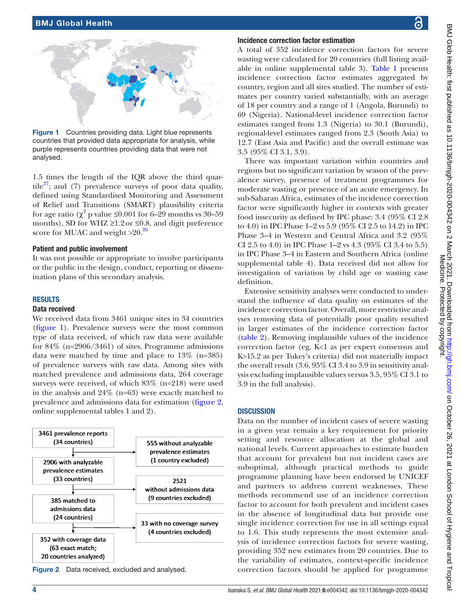

Figure 1 Countries providing data. Light blue represents countries that provided data appropriate for analysis, while purple represents countries providing data that were not analysed.

<span id="page-3-0"></span>1.5 times the length of the IQR above the third quartile<sup>27</sup>; and (7) prevalence surveys of poor data quality, defined using Standardised Monitoring and Assessment of Relief and Transitions (SMART) plausibility criteria for age ratio ( $\chi^2$  p value ≤0.001 for 6–29 months vs 30–59 months), SD for WHZ  $\geq$ 1.2 or  $\leq$ 0.8, and digit preference score for MUAC and weight  $>20$ .<sup>26</sup>

#### Patient and public involvement

It was not possible or appropriate to involve participants or the public in the design, conduct, reporting or dissemination plans of this secondary analysis.

#### RESULTS

#### Data received

We received data from 3461 unique sites in 34 countries ([figure](#page-3-0) 1). Prevalence surveys were the most common type of data received, of which raw data were available for  $84\%$  (n=2906/3461) of sites. Programme admissions data were matched by time and place to 13% (n=385) of prevalence surveys with raw data. Among sites with matched prevalence and admissions data, 264 coverage surveys were received, of which 83% (n=218) were used in the analysis and 24% (n=63) were exactly matched to prevalence and admissions data for estimation ([figure](#page-3-1) 2, [online supplemental tables 1 and 2\)](https://dx.doi.org/10.1136/bmjgh-2020-004342).



<span id="page-3-1"></span>

### Incidence correction factor estimation

A total of 352 incidence correction factors for severe wasting were calculated for 20 countries (full listing available in [online supplemental table 3\)](https://dx.doi.org/10.1136/bmjgh-2020-004342). [Table](#page-4-0) 1 presents incidence correction factor estimates aggregated by country, region and all sites studied. The number of estimates per country varied substantially, with an average of 18 per country and a range of 1 (Angola, Burundi) to 69 (Nigeria). National-level incidence correction factor estimates ranged from 1.3 (Nigeria) to 30.1 (Burundi), regional-level estimates ranged from 2.3 (South Asia) to 12.7 (East Asia and Pacific) and the overall estimate was 3.5 (95% CI 3.1, 3.9).

There was important variation within countries and regions but no significant variation by season of the prevalence survey, presence of treatment programmes for moderate wasting or presence of an acute emergency. In sub-Saharan Africa, estimates of the incidence correction factor were significantly higher in contexts with greater food insecurity as defined by IPC phase: 3.4 (95% CI 2.8 to 4.0) in IPC Phase 1–2 vs 5.9 (95% CI 2.5 to 14.2) in IPC Phase 3–4 in Western and Central Africa and 3.2 (95% CI 2.5 to 4.0) in IPC Phase 1–2 vs 4.3 (95% CI 3.4 to 5.5) in IPC Phase 3–4 in Eastern and Southern Africa [\(online](https://dx.doi.org/10.1136/bmjgh-2020-004342) [supplemental table 4\)](https://dx.doi.org/10.1136/bmjgh-2020-004342). Data received did not allow for investigation of variation by child age or wasting case definition.

Extensive sensitivity analyses were conducted to understand the influence of data quality on estimates of the incidence correction factor. Overall, more restrictive analyses removing data of potentially poor quality resulted in larger estimates of the incidence correction factor [\(table](#page-4-1) 2). Removing implausible values of the incidence correction factor (eg, K<1 as per expert consensus and K>15.2 as per Tukey's criteria) did not materially impact the overall result (3.6, 95% CI 3.4 to 3.9 in sensitivity analysis excluding implausible values versus 3.5, 95% CI 3.1 to 3.9 in the full analysis).

#### **DISCUSSION**

Data on the number of incident cases of severe wasting in a given year remain a key requirement for priority setting and resource allocation at the global and national levels. Current approaches to estimate burden that account for prevalent but not incident cases are suboptimal, although practical methods to guide programme planning have been endorsed by UNICEF and partners to address current weaknesses. These methods recommend use of an incidence correction factor to account for both prevalent and incident cases in the absence of longitudinal data but provide one single incidence correction for use in all settings equal to 1.6. This study represents the most extensive analysis of incidence correction factors for severe wasting, providing 352 new estimates from 20 countries. Due to the variability of estimates, context-specific incidence correction factors should be applied for programme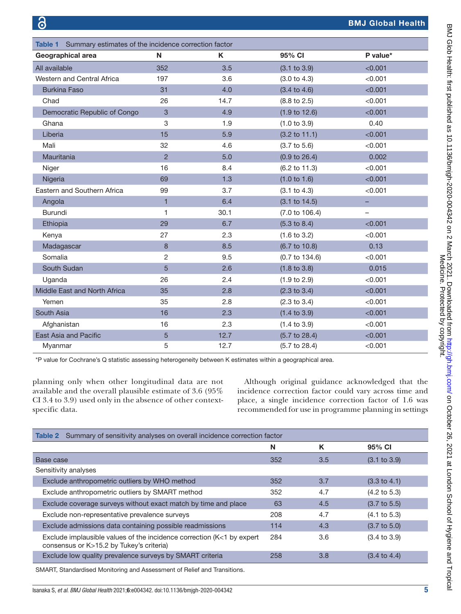<span id="page-4-0"></span>

| Table 1 Summary estimates of the incidence correction factor |                |      |                           |                          |  |  |  |
|--------------------------------------------------------------|----------------|------|---------------------------|--------------------------|--|--|--|
| Geographical area                                            | N              | K    | 95% CI                    | P value*                 |  |  |  |
| All available                                                | 352            | 3.5  | (3.1 to 3.9)              | < 0.001                  |  |  |  |
| Western and Central Africa                                   | 197            | 3.6  | (3.0 to 4.3)              | < 0.001                  |  |  |  |
| <b>Burkina Faso</b>                                          | 31             | 4.0  | $(3.4 \text{ to } 4.6)$   | < 0.001                  |  |  |  |
| Chad                                                         | 26             | 14.7 | $(8.8 \text{ to } 2.5)$   | < 0.001                  |  |  |  |
| Democratic Republic of Congo                                 | 3              | 4.9  | $(1.9 \text{ to } 12.6)$  | < 0.001                  |  |  |  |
| Ghana                                                        | 3              | 1.9  | (1.0 to 3.9)              | 0.40                     |  |  |  |
| Liberia                                                      | 15             | 5.9  | $(3.2 \text{ to } 11.1)$  | < 0.001                  |  |  |  |
| Mali                                                         | 32             | 4.6  | $(3.7 \text{ to } 5.6)$   | < 0.001                  |  |  |  |
| Mauritania                                                   | $\overline{2}$ | 5.0  | (0.9 to 26.4)             | 0.002                    |  |  |  |
| Niger                                                        | 16             | 8.4  | (6.2 to 11.3)             | < 0.001                  |  |  |  |
| Nigeria                                                      | 69             | 1.3  | (1.0 to 1.6)              | < 0.001                  |  |  |  |
| Eastern and Southern Africa                                  | 99             | 3.7  | (3.1 to 4.3)              | < 0.001                  |  |  |  |
| Angola                                                       | $\mathbf{1}$   | 6.4  | (3.1 to 14.5)             |                          |  |  |  |
| <b>Burundi</b>                                               | 1              | 30.1 | $(7.0 \text{ to } 106.4)$ | $\overline{\phantom{0}}$ |  |  |  |
| Ethiopia                                                     | 29             | 6.7  | $(5.3 \text{ to } 8.4)$   | < 0.001                  |  |  |  |
| Kenya                                                        | 27             | 2.3  | $(1.6 \text{ to } 3.2)$   | < 0.001                  |  |  |  |
| Madagascar                                                   | 8              | 8.5  | (6.7 to 10.8)             | 0.13                     |  |  |  |
| Somalia                                                      | $\overline{c}$ | 9.5  | $(0.7 \text{ to } 134.6)$ | < 0.001                  |  |  |  |
| South Sudan                                                  | 5              | 2.6  | $(1.8 \text{ to } 3.8)$   | 0.015                    |  |  |  |
| Uganda                                                       | 26             | 2.4  | $(1.9 \text{ to } 2.9)$   | < 0.001                  |  |  |  |
| Middle East and North Africa                                 | 35             | 2.8  | $(2.3 \text{ to } 3.4)$   | < 0.001                  |  |  |  |
| Yemen                                                        | 35             | 2.8  | $(2.3 \text{ to } 3.4)$   | < 0.001                  |  |  |  |
| South Asia                                                   | 16             | 2.3  | $(1.4 \text{ to } 3.9)$   | < 0.001                  |  |  |  |
| Afghanistan                                                  | 16             | 2.3  | $(1.4 \text{ to } 3.9)$   | < 0.001                  |  |  |  |
| East Asia and Pacific                                        | 5              | 12.7 | $(5.7 \text{ to } 28.4)$  | < 0.001                  |  |  |  |
| Myanmar                                                      | 5              | 12.7 | $(5.7 \text{ to } 28.4)$  | < 0.001                  |  |  |  |

\*P value for Cochrane's Q statistic assessing heterogeneity between K estimates within a geographical area.

planning only when other longitudinal data are not available and the overall plausible estimate of 3.6 (95% CI 3.4 to 3.9) used only in the absence of other contextspecific data.

Although original guidance acknowledged that the incidence correction factor could vary across time and place, a single incidence correction factor of 1.6 was recommended for use in programme planning in settings

<span id="page-4-1"></span>

| Summary of sensitivity analyses on overall incidence correction factor<br>Table 2                                 |     |     |                         |  |  |
|-------------------------------------------------------------------------------------------------------------------|-----|-----|-------------------------|--|--|
|                                                                                                                   | N   | K   | 95% CI                  |  |  |
| Base case                                                                                                         |     | 3.5 | $(3.1 \text{ to } 3.9)$ |  |  |
| Sensitivity analyses                                                                                              |     |     |                         |  |  |
| Exclude anthropometric outliers by WHO method                                                                     |     | 3.7 | $(3.3 \text{ to } 4.1)$ |  |  |
| Exclude anthropometric outliers by SMART method                                                                   |     | 4.7 | $(4.2 \text{ to } 5.3)$ |  |  |
| Exclude coverage surveys without exact match by time and place                                                    |     | 4.5 | $(3.7 \text{ to } 5.5)$ |  |  |
| Exclude non-representative prevalence surveys                                                                     |     | 4.7 | $(4.1 \text{ to } 5.3)$ |  |  |
| Exclude admissions data containing possible readmissions                                                          |     | 4.3 | $(3.7 \text{ to } 5.0)$ |  |  |
| Exclude implausible values of the incidence correction (K<1 by expert<br>consensus or K>15.2 by Tukey's criteria) |     | 3.6 | $(3.4 \text{ to } 3.9)$ |  |  |
| Exclude low quality prevalence surveys by SMART criteria                                                          | 258 | 3.8 | $(3.4 \text{ to } 4.4)$ |  |  |

SMART, Standardised Monitoring and Assessment of Relief and Transitions.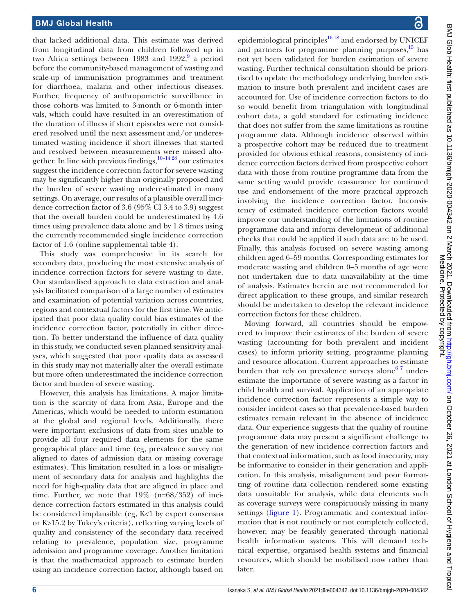that lacked additional data. This estimate was derived from longitudinal data from children followed up in two Africa settings between 1[9](#page-6-5)83 and 1992, $9$  a period before the community-based management of wasting and scale-up of immunisation programmes and treatment for diarrhoea, malaria and other infectious diseases. Further, frequency of anthropometric surveillance in those cohorts was limited to 3-month or 6-month intervals, which could have resulted in an overestimation of the duration of illness if short episodes were not considered resolved until the next assessment and/or underestimated wasting incidence if short illnesses that started and resolved between measurements were missed altogether. In line with previous findings,  $10-1428$  our estimates suggest the incidence correction factor for severe wasting may be significantly higher than originally proposed and the burden of severe wasting underestimated in many settings. On average, our results of a plausible overall incidence correction factor of 3.6 (95% CI 3.4 to 3.9) suggest that the overall burden could be underestimated by 4.6 times using prevalence data alone and by 1.8 times using the currently recommended single incidence correction factor of 1.6 ([online supplemental table 4](https://dx.doi.org/10.1136/bmjgh-2020-004342)).

This study was comprehensive in its search for secondary data, producing the most extensive analysis of incidence correction factors for severe wasting to date. Our standardised approach to data extraction and analysis facilitated comparison of a large number of estimates and examination of potential variation across countries, regions and contextual factors for the first time. We anticipated that poor data quality could bias estimates of the incidence correction factor, potentially in either direction. To better understand the influence of data quality in this study, we conducted seven planned sensitivity analyses, which suggested that poor quality data as assessed in this study may not materially alter the overall estimate but more often underestimated the incidence correction factor and burden of severe wasting.

However, this analysis has limitations. A major limitation is the scarcity of data from Asia, Europe and the Americas, which would be needed to inform estimation at the global and regional levels. Additionally, there were important exclusions of data from sites unable to provide all four required data elements for the same geographical place and time (eg, prevalence survey not aligned to dates of admission data or missing coverage estimates). This limitation resulted in a loss or misalignment of secondary data for analysis and highlights the need for high-quality data that are aligned in place and time. Further, we note that 19% (n=68/352) of incidence correction factors estimated in this analysis could be considered implausible (eg, K<1 by expert consensus or K>15.2 by Tukey's criteria), reflecting varying levels of quality and consistency of the secondary data received relating to prevalence, population size, programme admission and programme coverage. Another limitation is that the mathematical approach to estimate burden using an incidence correction factor, although based on

epidemiological principles<sup>[16 18](#page-7-2)</sup> and endorsed by UNICEF and partners for programme planning purposes, $\frac{15}{15}$  has not yet been validated for burden estimation of severe wasting. Further technical consultation should be prioritised to update the methodology underlying burden estimation to insure both prevalent and incident cases are accounted for. Use of incidence correction factors to do so would benefit from triangulation with longitudinal cohort data, a gold standard for estimating incidence that does not suffer from the same limitations as routine programme data. Although incidence observed within a prospective cohort may be reduced due to treatment provided for obvious ethical reasons, consistency of incidence correction factors derived from prospective cohort data with those from routine programme data from the same setting would provide reassurance for continued use and endorsement of the more practical approach involving the incidence correction factor. Inconsistency of estimated incidence correction factors would improve our understanding of the limitations of routine programme data and inform development of additional checks that could be applied if such data are to be used. Finally, this analysis focused on severe wasting among children aged 6–59 months. Corresponding estimates for moderate wasting and children 0–5 months of age were not undertaken due to data unavailability at the time of analysis. Estimates herein are not recommended for direct application to these groups, and similar research should be undertaken to develop the relevant incidence correction factors for these children.

Moving forward, all countries should be empowered to improve their estimates of the burden of severe wasting (accounting for both prevalent and incident cases) to inform priority setting, programme planning and resource allocation. Current approaches to estimate burden that rely on prevalence surveys alone<sup>67</sup> underestimate the importance of severe wasting as a factor in child health and survival. Application of an appropriate incidence correction factor represents a simple way to consider incident cases so that prevalence-based burden estimates remain relevant in the absence of incidence data. Our experience suggests that the quality of routine programme data may present a significant challenge to the generation of new incidence correction factors and that contextual information, such as food insecurity, may be informative to consider in their generation and application. In this analysis, misalignment and poor formatting of routine data collection rendered some existing data unsuitable for analysis, while data elements such as coverage surveys were conspicuously missing in many settings ([figure](#page-3-0) 1). Programmatic and contextual information that is not routinely or not completely collected, however, may be feasibly generated through national health information systems. This will demand technical expertise, organised health systems and financial resources, which should be mobilised now rather than later.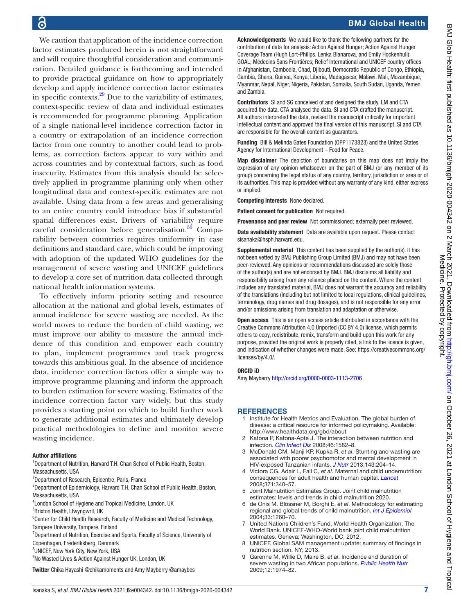# BMJ Global Health

6

We caution that application of the incidence correction factor estimates produced herein is not straightforward and will require thoughtful consideration and communication. Detailed guidance is forthcoming and intended to provide practical guidance on how to appropriately develop and apply incidence correction factor estimates in specific contexts. $^{29}$  $^{29}$  $^{29}$  Due to the variability of estimates, context-specific review of data and individual estimates is recommended for programme planning. Application of a single national-level incidence correction factor in a country or extrapolation of an incidence correction factor from one country to another could lead to problems, as correction factors appear to vary within and across countries and by contextual factors, such as food insecurity. Estimates from this analysis should be selectively applied in programme planning only when other longitudinal data and context-specific estimates are not available. Using data from a few areas and generalising to an entire country could introduce bias if substantial spatial differences exist. Drivers of variability require careful consideration before generalisation.<sup>30</sup> Comparability between countries requires uniformity in case definitions and standard care, which could be improving with adoption of the updated WHO guidelines for the management of severe wasting and UNICEF guidelines to develop a core set of nutrition data collected through national health information systems.

To effectively inform priority setting and resource allocation at the national and global levels, estimates of annual incidence for severe wasting are needed. As the world moves to reduce the burden of child wasting, we must improve our ability to measure the annual incidence of this condition and empower each country to plan, implement programmes and track progress towards this ambitious goal. In the absence of incidence data, incidence correction factors offer a simple way to improve programme planning and inform the approach to burden estimation for severe wasting. Estimates of the incidence correction factor vary widely, but this study provides a starting point on which to build further work to generate additional estimates and ultimately develop practical methodologies to define and monitor severe wasting incidence.

#### Author affiliations

<sup>1</sup>Department of Nutrition, Harvard T.H. Chan School of Public Health, Boston, Massachusetts, USA

- <sup>2</sup>Department of Research, Epicentre, Paris, France
- <sup>3</sup>Department of Epidemiology, Harvard T.H. Chan School of Public Health, Boston, Massachusetts, USA
- 4 London School of Hygiene and Tropical Medicine, London, UK
- 5 Brixton Health, Llwyngwril, UK

<sup>6</sup> Center for Child Health Research, Faculty of Medicine and Medical Technology, Tampere University, Tampere, Finland

<sup>7</sup>Department of Nutrition, Exercise and Sports, Faculty of Science, University of Copenhagen, Frederiksberg, Denmark

8 UNICEF, New York City, New York, USA

<sup>9</sup>No Wasted Lives & Action Against Hunger UK, London, UK

Twitter Chika Hayashi [@chikamoments](https://twitter.com/chikamoments) and Amy Mayberry [@amaybes](https://twitter.com/amaybes)

Acknowledgements We would like to thank the following partners for the contribution of data for analysis: Action Against Hunger; Action Against Hunger Coverage Team (Hugh Lort-Philips, Lenka Blanarova, and Emily Hockenhull); GOAL; Médecins Sans Frontières; Relief International and UNICEF country offices in Afghanistan, Cambodia, Chad, Djibouti, Democratic Republic of Congo, Ethiopia, Gambia, Ghana, Guinea, Kenya, Liberia, Madagascar, Malawi, Mali, Mozambique, Myanmar, Nepal, Niger, Nigeria, Pakistan, Somalia, South Sudan, Uganda, Yemen and Zambia.

Contributors SI and SG conceived of and designed the study. LM and CTA acquired the data. CTA analysed the data. SI and CTA drafted the manuscript. All authors interpreted the data, revised the manuscript critically for important intellectual content and approved the final version of this manuscript. SI and CTA are responsible for the overall content as guarantors.

Funding Bill & Melinda Gates Foundation (OPP1173823) and the United States Agency for International Development – Food for Peace.

Map disclaimer The depiction of boundaries on this map does not imply the expression of any opinion whatsoever on the part of BMJ (or any member of its group) concerning the legal status of any country, territory, jurisdiction or area or of its authorities. This map is provided without any warranty of any kind, either express or implied.

Competing interests None declared.

Patient consent for publication Not required.

Provenance and peer review Not commissioned; externally peer reviewed.

Data availability statement Data are available upon request. Please contact sisanaka@hsph.harvard.edu.

Supplemental material This content has been supplied by the author(s). It has not been vetted by BMJ Publishing Group Limited (BMJ) and may not have been peer-reviewed. Any opinions or recommendations discussed are solely those of the author(s) and are not endorsed by BMJ. BMJ disclaims all liability and responsibility arising from any reliance placed on the content. Where the content includes any translated material, BMJ does not warrant the accuracy and reliability of the translations (including but not limited to local regulations, clinical guidelines, terminology, drug names and drug dosages), and is not responsible for any error and/or omissions arising from translation and adaptation or otherwise.

Open access This is an open access article distributed in accordance with the Creative Commons Attribution 4.0 Unported (CC BY 4.0) license, which permits others to copy, redistribute, remix, transform and build upon this work for any purpose, provided the original work is properly cited, a link to the licence is given, and indication of whether changes were made. See: [https://creativecommons.org/](https://creativecommons.org/licenses/by/4.0/) [licenses/by/4.0/](https://creativecommons.org/licenses/by/4.0/).

#### ORCID iD

Amy Mayberry <http://orcid.org/0000-0003-1113-2706>

#### **REFERENCES**

- <span id="page-6-0"></span>1 Institute for Health Metrics and Evaluation. The global burden of disease: a critical resource for informed policymaking. Available: <http://www.healthdata.org/gbd/about>
- <span id="page-6-1"></span>2 Katona P, Katona-Apte J. The interaction between nutrition and infection. *[Clin Infect Dis](http://dx.doi.org/10.1086/587658)* 2008;46:1582–8.
- 3 McDonald CM, Manji KP, Kupka R, *et al*. Stunting and wasting are associated with poorer psychomotor and mental development in HIV-exposed Tanzanian infants. *[J Nutr](http://dx.doi.org/10.3945/jn.112.168682)* 2013;143:204–14.
- 4 Victora CG, Adair L, Fall C, *et al*. Maternal and child undernutrition: consequences for adult health and human capital. *[Lancet](http://dx.doi.org/10.1016/S0140-6736(07)61692-4)* 2008;371:340–57.
- <span id="page-6-2"></span>5 Joint Malnutrition Estimates Group. Joint child malnutrition estimates: levels and trends in child malnutrition 2020.
- <span id="page-6-3"></span>6 de Onis M, Blössner M, Borghi E, *et al*. Methodology for estimating regional and global trends of child malnutrition. *[Int J Epidemiol](http://dx.doi.org/10.1093/ije/dyh202)* 2004;33:1260–70.
- 7 United Nations Children's Fund, World Health Organization, The World Bank. UNICEF-WHO-World bank joint child malnutrition estimates. Geneva; Washington, DC; 2012.
- <span id="page-6-4"></span>8 UNICEF. Global SAM management update: summary of findings in nutrition section. NY; 2013.
- <span id="page-6-5"></span>9 Garenne M, Willie D, Maire B, *et al*. Incidence and duration of severe wasting in two African populations. *[Public Health Nutr](http://dx.doi.org/10.1017/S1368980009004972)* 2009;12:1974–82.